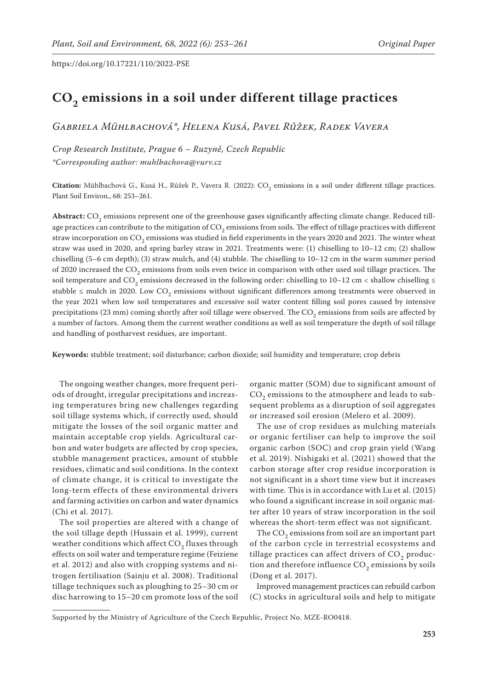# **CO2 emissions in a soil under different tillage practices**

*Gabriela Mühlbachová\*, Helena Kusá, Pavel Růžek, Radek Vavera*

*Crop Research Institute, Prague 6 – Ruzyně, Czech Republic \*Corresponding author: muhlbachova@vurv.cz*

 ${\bf Citation:}$  Mühlbachová G., Kusá H., Růžek P., Vavera R. (2022):  ${\rm CO}_2$  emissions in a soil under different tillage practices. Plant Soil Environ., 68: 253–261.

Abstract: CO<sub>2</sub> emissions represent one of the greenhouse gases significantly affecting climate change. Reduced tillage practices can contribute to the mitigation of  $CO<sub>2</sub>$  emissions from soils. The effect of tillage practices with different straw incorporation on CO<sub>2</sub> emissions was studied in field experiments in the years 2020 and 2021. The winter wheat straw was used in 2020, and spring barley straw in 2021. Treatments were: (1) chiselling to 10–12 cm; (2) shallow chiselling (5–6 cm depth); (3) straw mulch, and (4) stubble. The chiselling to 10–12 cm in the warm summer period of 2020 increased the CO<sub>2</sub> emissions from soils even twice in comparison with other used soil tillage practices. The soil temperature and  $CO_2$  emissions decreased in the following order: chiselling to 10–12 cm < shallow chiselling  $\leq$ stubble  $\leq$  mulch in 2020. Low CO<sub>2</sub> emissions without significant differences among treatments were observed in the year 2021 when low soil temperatures and excessive soil water content filling soil pores caused by intensive precipitations (23 mm) coming shortly after soil tillage were observed. The CO<sub>2</sub> emissions from soils are affected by a number of factors. Among them the current weather conditions as well as soil temperature the depth of soil tillage and handling of postharvest residues, are important.

**Keywords:** stubble treatment; soil disturbance; carbon dioxide; soil humidity and temperature; crop debris

The ongoing weather changes, more frequent periods of drought, irregular precipitations and increasing temperatures bring new challenges regarding soil tillage systems which, if correctly used, should mitigate the losses of the soil organic matter and maintain acceptable crop yields. Agricultural carbon and water budgets are affected by crop species, stubble management practices, amount of stubble residues, climatic and soil conditions. In the context of climate change, it is critical to investigate the long-term effects of these environmental drivers and farming activities on carbon and water dynamics (Chi et al. 2017).

The soil properties are altered with a change of the soil tillage depth (Hussain et al. 1999), current weather conditions which affect  $CO<sub>2</sub>$  fluxes through effects on soil water and temperature regime (Feiziene et al. 2012) and also with cropping systems and nitrogen fertilisation (Sainju et al. 2008). Traditional tillage techniques such as ploughing to 25–30 cm or disc harrowing to 15–20 cm promote loss of the soil organic matter (SOM) due to significant amount of  $CO<sub>2</sub>$  emissions to the atmosphere and leads to subsequent problems as a disruption of soil aggregates or increased soil erosion (Melero et al. 2009).

The use of crop residues as mulching materials or organic fertiliser can help to improve the soil organic carbon (SOC) and crop grain yield (Wang et al. 2019). Nishigaki et al. (2021) showed that the carbon storage after crop residue incorporation is not significant in a short time view but it increases with time. This is in accordance with Lu et al. (2015) who found a significant increase in soil organic matter after 10 years of straw incorporation in the soil whereas the short-term effect was not significant.

The  $CO<sub>2</sub>$  emissions from soil are an important part of the carbon cycle in terrestrial ecosystems and tillage practices can affect drivers of  $CO<sub>2</sub>$  production and therefore influence  $\mathrm{CO}_2$  emissions by soils (Dong et al. 2017).

Improved management practices can rebuild carbon (C) stocks in agricultural soils and help to mitigate

Supported by the Ministry of Agriculture of the Czech Republic, Project No. MZE-RO0418.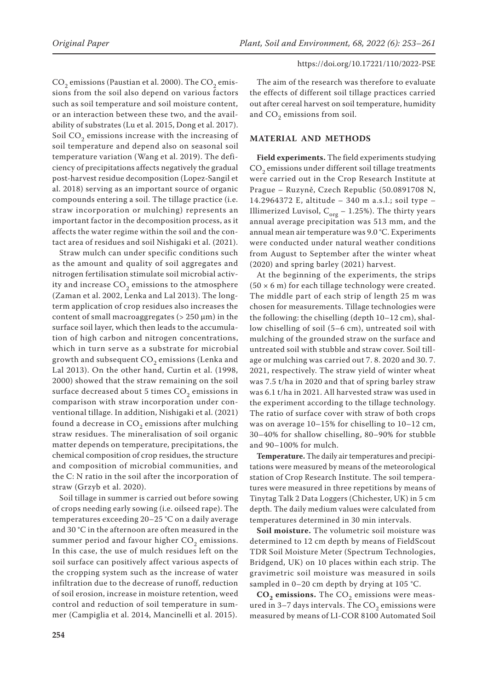$CO<sub>2</sub>$  emissions (Paustian et al. 2000). The  $CO<sub>2</sub>$  emissions from the soil also depend on various factors such as soil temperature and soil moisture content, or an interaction between these two, and the availability of substrates (Lu et al. 2015, Dong et al. 2017). Soil  $CO<sub>2</sub>$  emissions increase with the increasing of soil temperature and depend also on seasonal soil temperature variation (Wang et al. 2019). The deficiency of precipitations affects negatively the gradual post-harvest residue decomposition (Lopez-Sangil et al. 2018) serving as an important source of organic compounds entering a soil. The tillage practice (i.e. straw incorporation or mulching) represents an important factor in the decomposition process, as it affects the water regime within the soil and the contact area of residues and soil Nishigaki et al. (2021).

Straw mulch can under specific conditions such as the amount and quality of soil aggregates and nitrogen fertilisation stimulate soil microbial activity and increase  $CO<sub>2</sub>$  emissions to the atmosphere (Zaman et al. 2002, Lenka and Lal 2013). The longterm application of crop residues also increases the content of small macroaggregates ( $> 250 \mu m$ ) in the surface soil layer, which then leads to the accumulation of high carbon and nitrogen concentrations, which in turn serve as a substrate for microbial growth and subsequent  $CO<sub>2</sub>$  emissions (Lenka and Lal 2013). On the other hand, Curtin et al. (1998, 2000) showed that the straw remaining on the soil surface decreased about 5 times  $CO<sub>2</sub>$  emissions in comparison with straw incorporation under conventional tillage. In addition, Nishigaki et al. (2021) found a decrease in  $CO<sub>2</sub>$  emissions after mulching straw residues. The mineralisation of soil organic matter depends on temperature, precipitations, the chemical composition of crop residues, the structure and composition of microbial communities, and the C: N ratio in the soil after the incorporation of straw (Grzyb et al. 2020).

Soil tillage in summer is carried out before sowing of crops needing early sowing (i.e. oilseed rape). The temperatures exceeding 20–25 °C on a daily average and 30 °C in the afternoon are often measured in the summer period and favour higher  $CO<sub>2</sub>$  emissions. In this case, the use of mulch residues left on the soil surface can positively affect various aspects of the cropping system such as the increase of water infiltration due to the decrease of runoff, reduction of soil erosion, increase in moisture retention, weed control and reduction of soil temperature in summer (Campiglia et al. 2014, Mancinelli et al. 2015).

The aim of the research was therefore to evaluate the effects of different soil tillage practices carried out after cereal harvest on soil temperature, humidity and  $CO<sub>2</sub>$  emissions from soil.

## **MATERIAL AND METHODS**

**Field experiments.** The field experiments studying CO<sub>2</sub> emissions under different soil tillage treatments were carried out in the Crop Research Institute at Prague – Ruzyně, Czech Republic (50.0891708 N, 14.2964372 E, altitude – 340 m a.s.l.; soil type – Illimerized Luvisol,  $C_{org}$  – 1.25%). The thirty years annual average precipitation was 513 mm, and the annual mean air temperature was 9.0 °C. Experiments were conducted under natural weather conditions from August to September after the winter wheat (2020) and spring barley (2021) harvest.

At the beginning of the experiments, the strips  $(50 \times 6 \text{ m})$  for each tillage technology were created. The middle part of each strip of length 25 m was chosen for measurements. Tillage technologies were the following: the chiselling (depth 10–12 cm), shallow chiselling of soil (5–6 cm), untreated soil with mulching of the grounded straw on the surface and untreated soil with stubble and straw cover. Soil tillage or mulching was carried out 7. 8. 2020 and 30. 7. 2021, respectively. The straw yield of winter wheat was 7.5 t/ha in 2020 and that of spring barley straw was 6.1 t/ha in 2021. All harvested straw was used in the experiment according to the tillage technology. The ratio of surface cover with straw of both crops was on average 10–15% for chiselling to 10–12 cm, 30–40% for shallow chiselling, 80–90% for stubble and 90–100% for mulch.

**Temperature.** The daily air temperatures and precipitations were measured by means of the meteorological station of Crop Research Institute. The soil temperatures were measured in three repetitions by means of Tinytag Talk 2 Data Loggers (Chichester, UK) in 5 cm depth. The daily medium values were calculated from temperatures determined in 30 min intervals.

**Soil moisture.** The volumetric soil moisture was determined to 12 cm depth by means of FieldScout TDR Soil Moisture Meter (Spectrum Technologies, Bridgend, UK) on 10 places within each strip. The gravimetric soil moisture was measured in soils sampled in 0–20 cm depth by drying at 105 °C.

**CO<sub>2</sub> emissions.** The CO<sub>2</sub> emissions were measured in 3-7 days intervals. The  $CO<sub>2</sub>$  emissions were measured by means of LI-COR 8100 Automated Soil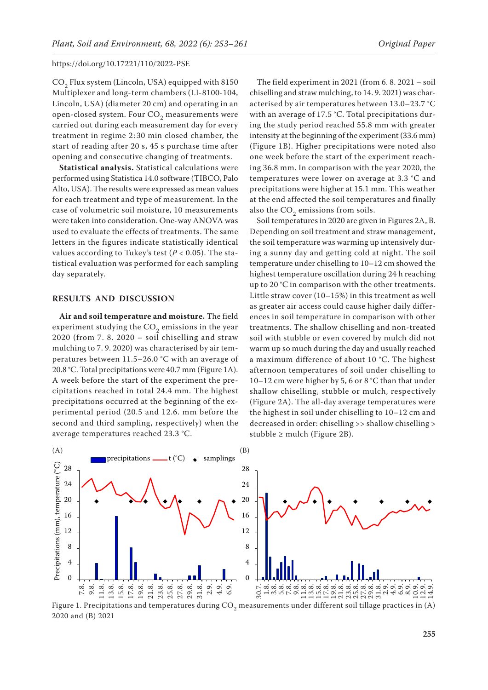$CO<sub>2</sub>$  Flux system (Lincoln, USA) equipped with 8150 Multiplexer and long-term chambers (LI-8100-104, Lincoln, USA) (diameter 20 cm) and operating in an open-closed system. Four  $CO<sub>2</sub>$  measurements were carried out during each measurement day for every treatment in regime 2:30 min closed chamber, the start of reading after 20 s, 45 s purchase time after opening and consecutive changing of treatments.

**Statistical analysis.** Statistical calculations were performed using Statistica 14.0 software (TIBCO, Palo Alto, USA). The results were expressed as mean values for each treatment and type of measurement. In the case of volumetric soil moisture, 10 measurements were taken into consideration. One-way ANOVA was used to evaluate the effects of treatments. The same letters in the figures indicate statistically identical values according to Tukey's test ( $P < 0.05$ ). The statistical evaluation was performed for each sampling day separately.

#### **RESULTS AND DISCUSSION**

**Air and soil temperature and moisture.** The field experiment studying the  $CO<sub>2</sub>$  emissions in the year 2020 (from 7. 8. 2020 – soil chiselling and straw mulching to 7. 9. 2020) was characterised by air temperatures between 11.5–26.0 °C with an average of 20.8 °C. Total precipitations were 40.7 mm (Figure 1A). A week before the start of the experiment the precipitations reached in total 24.4 mm. The highest precipitations occurred at the beginning of the experimental period (20.5 and 12.6. mm before the second and third sampling, respectively) when the average temperatures reached 23.3 °C.

The field experiment in 2021 (from 6. 8. 2021 – soil chiselling and straw mulching, to 14. 9. 2021) was characterised by air temperatures between 13.0–23.7 °C with an average of 17.5 °C. Total precipitations during the study period reached 55.8 mm with greater intensity at the beginning of the experiment (33.6 mm) (Figure 1B). Higher precipitations were noted also one week before the start of the experiment reaching 36.8 mm. In comparison with the year 2020, the temperatures were lower on average at 3.3 °C and precipitations were higher at 15.1 mm. This weather at the end affected the soil temperatures and finally also the  $CO<sub>2</sub>$  emissions from soils.

Soil temperatures in 2020 are given in Figures 2A, B. Depending on soil treatment and straw management, the soil temperature was warming up intensively during a sunny day and getting cold at night. The soil temperature under chiselling to 10–12 cm showed the highest temperature oscillation during 24 h reaching up to 20 °C in comparison with the other treatments. Little straw cover (10–15%) in this treatment as well as greater air access could cause higher daily differences in soil temperature in comparison with other treatments. The shallow chiselling and non-treated soil with stubble or even covered by mulch did not warm up so much during the day and usually reached a maximum difference of about 10 °C. The highest afternoon temperatures of soil under chiselling to 10–12 cm were higher by 5, 6 or 8 °C than that under shallow chiselling, stubble or mulch, respectively (Figure 2A). The all-day average temperatures were the highest in soil under chiselling to 10–12 cm and decreased in order: chiselling >> shallow chiselling > stubble  $\geq$  mulch (Figure 2B).



Figure 1. Precipitations and temperatures during  $CO<sub>2</sub>$  measurements under different soil tillage practices in (A) 2020 and (B) 2021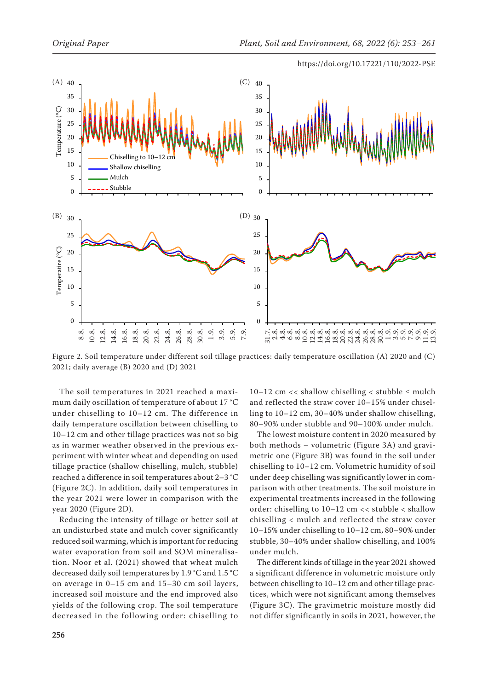

Figure 2. Soil temperature under different soil tillage practices: daily temperature oscillation (A) 2020 and (C) 2021; daily average (B) 2020 and (D) 2021

The soil temperatures in 2021 reached a maximum daily oscillation of temperature of about 17 °C under chiselling to 10–12 cm. The difference in daily temperature oscillation between chiselling to 10–12 cm and other tillage practices was not so big as in warmer weather observed in the previous experiment with winter wheat and depending on used tillage practice (shallow chiselling, mulch, stubble) reached a difference in soil temperatures about 2–3 °C (Figure 2C). In addition, daily soil temperatures in the year 2021 were lower in comparison with the year 2020 (Figure 2D).

Reducing the intensity of tillage or better soil at an undisturbed state and mulch cover significantly reduced soil warming, which is important for reducing water evaporation from soil and SOM mineralisation. Noor et al. (2021) showed that wheat mulch decreased daily soil temperatures by 1.9 °C and 1.5 °C on average in 0–15 cm and 15–30 cm soil layers, increased soil moisture and the end improved also yields of the following crop. The soil temperature decreased in the following order: chiselling to

10–12 cm << shallow chiselling < stubble  $\leq$  mulch and reflected the straw cover 10–15% under chiselling to 10–12 cm, 30–40% under shallow chiselling, 80–90% under stubble and 90–100% under mulch.

The lowest moisture content in 2020 measured by both methods – volumetric (Figure 3A) and gravimetric one (Figure 3B) was found in the soil under chiselling to 10–12 cm. Volumetric humidity of soil under deep chiselling was significantly lower in comparison with other treatments. The soil moisture in experimental treatments increased in the following order: chiselling to 10–12 cm << stubble < shallow chiselling < mulch and reflected the straw cover 10–15% under chiselling to 10–12 cm, 80–90% under stubble, 30–40% under shallow chiselling, and 100% under mulch.

The different kinds of tillage in the year 2021 showed a significant difference in volumetric moisture only between chiselling to 10–12 cm and other tillage practices, which were not significant among themselves (Figure 3C). The gravimetric moisture mostly did not differ significantly in soils in 2021, however, the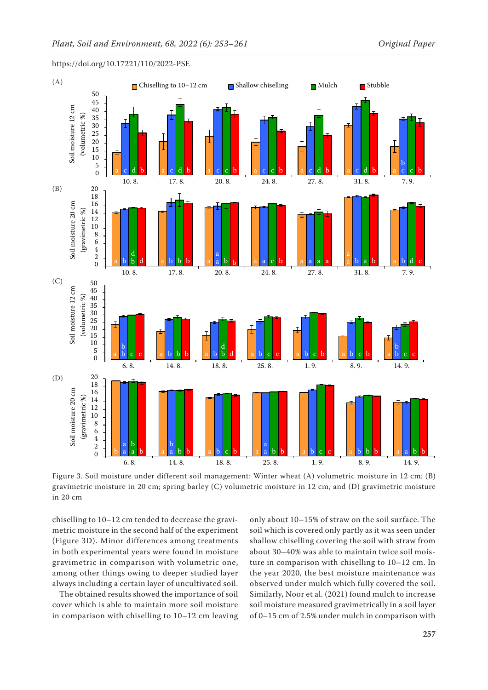

Figure 3. Soil moisture under different soil management: Winter wheat (A) volumetric moisture in 12 cm; (B) 6. 8. 14. 8. 18. 8. 25. 8. 1. 9. 8. 9. 14. 9.

gravimetric moisture in 20 cm; spring barley (C) volumetric moisture in 12 cm, and (D) gravimetric moisture in 20 cm

chiselling to 10–12 cm tended to decrease the gravimetric moisture in the second half of the experiment (Figure 3D). Minor differences among treatments in both experimental years were found in moisture gravimetric in comparison with volumetric one, among other things owing to deeper studied layer always including a certain layer of uncultivated soil.

The obtained results showed the importance of soil cover which is able to maintain more soil moisture in comparison with chiselling to 10–12 cm leaving only about 10–15% of straw on the soil surface. The soil which is covered only partly as it was seen under shallow chiselling covering the soil with straw from about 30–40% was able to maintain twice soil moisture in comparison with chiselling to 10–12 cm. In the year 2020, the best moisture maintenance was observed under mulch which fully covered the soil. Similarly, Noor et al. (2021) found mulch to increase soil moisture measured gravimetrically in a soil layer of 0–15 cm of 2.5% under mulch in comparison with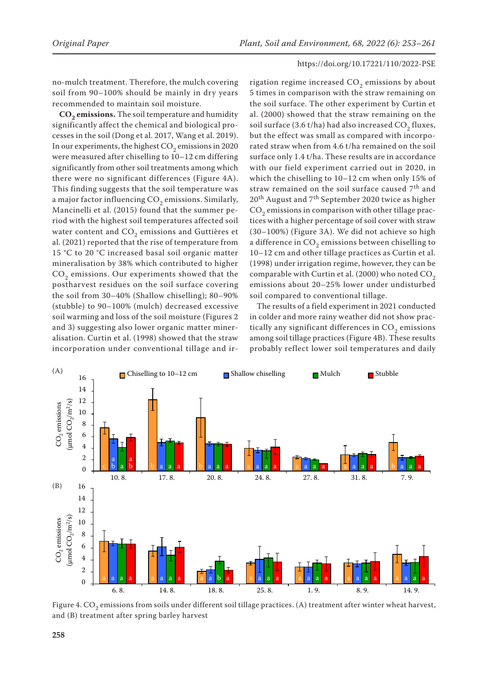no-mulch treatment. Therefore, the mulch covering soil from 90–100% should be mainly in dry years recommended to maintain soil moisture.

CO<sub>2</sub> emissions. The soil temperature and humidity significantly affect the chemical and biological processes in the soil (Dong et al. 2017, Wang et al. 2019). In our experiments, the highest  $CO<sub>2</sub>$  emissions in 2020 were measured after chiselling to 10–12 cm differing significantly from other soil treatments among which there were no significant differences (Figure 4A). This finding suggests that the soil temperature was a major factor influencing  $CO<sub>2</sub>$  emissions. Similarly, Mancinelli et al. (2015) found that the summer period with the highest soil temperatures affected soil water content and  $CO<sub>2</sub>$  emissions and Guttières et al. (2021) reported that the rise of temperature from 15 °C to 20 °C increased basal soil organic matter mineralisation by 38% which contributed to higher CO<sub>2</sub> emissions. Our experiments showed that the postharvest residues on the soil surface covering the soil from 30–40% (Shallow chiselling); 80–90% (stubble) to 90–100% (mulch) decreased excessive soil warming and loss of the soil moisture (Figures 2 and 3) suggesting also lower organic matter mineralisation. Curtin et al. (1998) showed that the straw incorporation under conventional tillage and irrigation regime increased  $CO_2$  emissions by about 5 times in comparison with the straw remaining on the soil surface. The other experiment by Curtin et al. (2000) showed that the straw remaining on the soil surface  $(3.6 t/ha)$  had also increased  $CO<sub>2</sub>$  fluxes, but the effect was small as compared with incorporated straw when from 4.6 t/ha remained on the soil surface only 1.4 t/ha. These results are in accordance with our field experiment carried out in 2020, in which the chiselling to 10–12 cm when only 15% of straw remained on the soil surface caused 7<sup>th</sup> and 20<sup>th</sup> August and 7<sup>th</sup> September 2020 twice as higher  $CO<sub>2</sub>$  emissions in comparison with other tillage practices with a higher percentage of soil cover with straw (30–100%) (Figure 3A). We did not achieve so high a difference in  $CO<sub>2</sub>$  emissions between chiselling to 10–12 cm and other tillage practices as Curtin et al. (1998) under irrigation regime, however, they can be comparable with Curtin et al. (2000) who noted  $CO<sub>2</sub>$ emissions about 20–25% lower under undisturbed soil compared to conventional tillage.

The results of a field experiment in 2021 conducted in colder and more rainy weather did not show practically any significant differences in  $CO<sub>2</sub>$  emissions among soil tillage practices (Figure 4B). These results probably reflect lower soil temperatures and daily



Figure 4.  $CO<sub>2</sub>$  emissions from soils under different soil tillage practices. (A) treatment after winter wheat harvest, and (B) treatment after spring barley harvest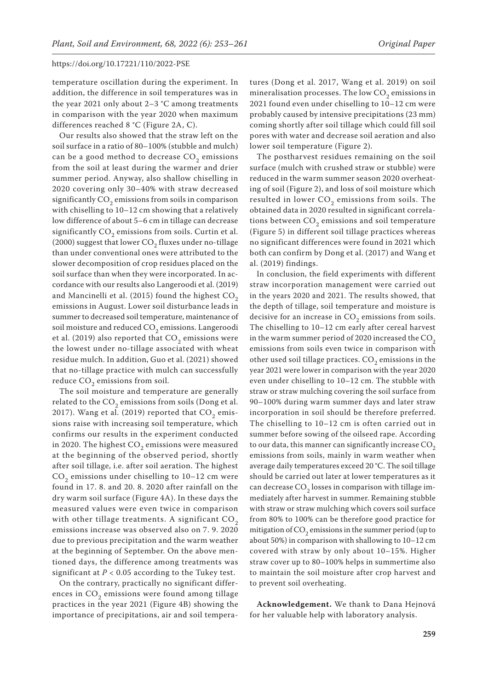temperature oscillation during the experiment. In addition, the difference in soil temperatures was in the year 2021 only about 2–3 °C among treatments in comparison with the year 2020 when maximum differences reached 8 °C (Figure 2A, C).

Our results also showed that the straw left on the soil surface in a ratio of 80–100% (stubble and mulch) can be a good method to decrease CO<sub>2</sub> emissions from the soil at least during the warmer and drier summer period. Anyway, also shallow chiselling in 2020 covering only 30–40% with straw decreased significantly  $CO<sub>2</sub>$  emissions from soils in comparison with chiselling to 10–12 cm showing that a relatively low difference of about 5–6 cm in tillage can decrease significantly  $CO<sub>2</sub>$  emissions from soils. Curtin et al. (2000) suggest that lower  $CO<sub>2</sub>$  fluxes under no-tillage than under conventional ones were attributed to the slower decomposition of crop residues placed on the soil surface than when they were incorporated. In accordance with our results also Langeroodi et al. (2019) and Mancinelli et al. (2015) found the highest  $CO<sub>2</sub>$ emissions in August. Lower soil disturbance leads in summer to decreased soil temperature, maintenance of soil moisture and reduced  $CO<sub>2</sub>$  emissions. Langeroodi et al. (2019) also reported that  $CO<sub>2</sub>$  emissions were the lowest under no-tillage associated with wheat residue mulch. In addition, Guo et al. (2021) showed that no-tillage practice with mulch can successfully reduce CO<sub>2</sub> emissions from soil.

The soil moisture and temperature are generally related to the  $CO<sub>2</sub>$  emissions from soils (Dong et al. 2017). Wang et al. (2019) reported that  $CO<sub>2</sub>$  emissions raise with increasing soil temperature, which confirms our results in the experiment conducted in 2020. The highest  $CO<sub>2</sub>$  emissions were measured at the beginning of the observed period, shortly after soil tillage, i.e. after soil aeration. The highest  $CO<sub>2</sub>$  emissions under chiselling to 10–12 cm were found in 17. 8. and 20. 8. 2020 after rainfall on the dry warm soil surface (Figure 4A). In these days the measured values were even twice in comparison with other tillage treatments. A significant  $CO<sub>2</sub>$ emissions increase was observed also on 7. 9. 2020 due to previous precipitation and the warm weather at the beginning of September. On the above mentioned days, the difference among treatments was significant at  $P < 0.05$  according to the Tukey test.

On the contrary, practically no significant differences in  $CO<sub>2</sub>$  emissions were found among tillage practices in the year 2021 (Figure 4B) showing the importance of precipitations, air and soil tempera-

tures (Dong et al. 2017, Wang et al. 2019) on soil mineralisation processes. The low  $CO<sub>2</sub>$  emissions in 2021 found even under chiselling to 10–12 cm were probably caused by intensive precipitations (23 mm) coming shortly after soil tillage which could fill soil pores with water and decrease soil aeration and also lower soil temperature (Figure 2).

The postharvest residues remaining on the soil surface (mulch with crushed straw or stubble) were reduced in the warm summer season 2020 overheating of soil (Figure 2), and loss of soil moisture which resulted in lower  $CO<sub>2</sub>$  emissions from soils. The obtained data in 2020 resulted in significant correlations between  $CO<sub>2</sub>$  emissions and soil temperature (Figure 5) in different soil tillage practices whereas no significant differences were found in 2021 which both can confirm by Dong et al. (2017) and Wang et al. (2019) findings.

In conclusion, the field experiments with different straw incorporation management were carried out in the years 2020 and 2021. The results showed, that the depth of tillage, soil temperature and moisture is decisive for an increase in  $CO_2$  emissions from soils. The chiselling to 10–12 cm early after cereal harvest in the warm summer period of 2020 increased the  $CO<sub>2</sub>$ emissions from soils even twice in comparison with other used soil tillage practices.  $CO<sub>2</sub>$  emissions in the year 2021 were lower in comparison with the year 2020 even under chiselling to 10–12 cm. The stubble with straw or straw mulching covering the soil surface from 90–100% during warm summer days and later straw incorporation in soil should be therefore preferred. The chiselling to 10–12 cm is often carried out in summer before sowing of the oilseed rape. According to our data, this manner can significantly increase  $CO<sub>2</sub>$ emissions from soils, mainly in warm weather when average daily temperatures exceed 20 °C. The soil tillage should be carried out later at lower temperatures as it can decrease  $CO<sub>2</sub>$  losses in comparison with tillage immediately after harvest in summer. Remaining stubble with straw or straw mulching which covers soil surface from 80% to 100% can be therefore good practice for mitigation of  $CO<sub>2</sub>$  emissions in the summer period (up to about 50%) in comparison with shallowing to 10–12 cm covered with straw by only about 10–15%. Higher straw cover up to 80–100% helps in summertime also to maintain the soil moisture after crop harvest and to prevent soil overheating.

**Acknowledgement.** We thank to Dana Hejnová for her valuable help with laboratory analysis.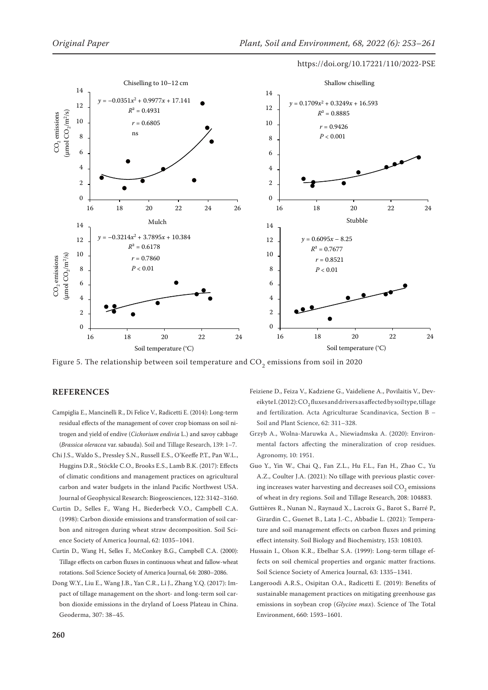

Figure 5. The relationship between soil temperature and  $CO_2$  emissions from soil in 2020

## **REFERENCES**

- Campiglia E., Mancinelli R., Di Felice V., Radicetti E. (2014): Long-term residual effects of the management of cover crop biomass on soil nitrogen and yield of endive (*Cichorium endivia* L.) and savoy cabbage (*Brassica oleracea* var. sabauda). Soil and Tillage Research, 139: 1–7.
- Chi J.S., Waldo S., Pressley S.N., Russell E.S., O'Keeffe P.T., Pan W.L., Huggins D.R., Stöckle C.O., Brooks E.S., Lamb B.K. (2017): Effects of climatic conditions and management practices on agricultural carbon and water budgets in the inland Pacific Northwest USA. Journal of Geophysical Research: Biogeosciences, 122: 3142–3160.
- Curtin D., Selles F., Wang H., Biederbeck V.O., Campbell C.A. (1998): Carbon dioxide emissions and transformation of soil carbon and nitrogen during wheat straw decomposition. Soil Science Society of America Journal, 62: 1035–1041.
- Curtin D., Wang H., Selles F., McConkey B.G., Campbell C.A. (2000): Tillage effects on carbon fluxes in continuous wheat and fallow-wheat rotations. Soil Science Society of America Journal, 64: 2080–2086.
- Dong W.Y., Liu E., Wang J.B., Yan C.R., Li J., Zhang Y.Q. (2017): Impact of tillage management on the short- and long-term soil carbon dioxide emissions in the dryland of Loess Plateau in China. Geoderma, 307: 38–45.
- Feiziene D., Feiza V., Kadziene G., Vaideliene A., Povilaitis V., Deveikyte I. (2012): CO<sub>2</sub> fluxes and drivers as affected by soil type, tillage and fertilization. Acta Agriculturae Scandinavica, Section B – Soil and Plant Science, 62: 311–328.
- Grzyb A., Wolna-Maruwka A., Niewiadmska A. (2020): Environmental factors affecting the mineralization of crop residues. Agronomy, 10: 1951.
- Guo Y., Yin W., Chai Q., Fan Z.L., Hu F.L., Fan H., Zhao C., Yu A.Z., Coulter J.A. (2021): No tillage with previous plastic covering increases water harvesting and decreases soil CO<sub>2</sub> emissions of wheat in dry regions. Soil and Tillage Research, 208: 104883.
- Guttières R., Nunan N., Raynaud X., Lacroix G., Barot S., Barré P., Girardin C., Guenet B., Lata J.-C., Abbadie L. (2021): Temperature and soil management effects on carbon fluxes and priming effect intensity. Soil Biology and Biochemistry, 153: 108103.
- Hussain I., Olson K.R., Ebelhar S.A. (1999): Long-term tillage effects on soil chemical properties and organic matter fractions. Soil Science Society of America Journal, 63: 1335–1341.
- Langeroodi A.R.S., Osipitan O.A., Radicetti E. (2019): Benefits of sustainable management practices on mitigating greenhouse gas emissions in soybean crop (*Glycine max*). Science of The Total Environment, 660: 1593–1601.